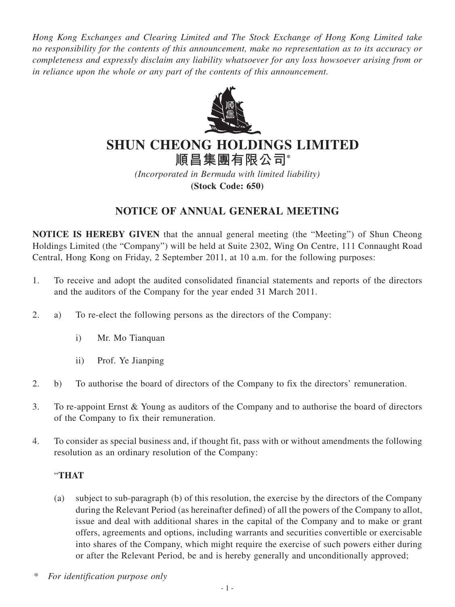*Hong Kong Exchanges and Clearing Limited and The Stock Exchange of Hong Kong Limited take no responsibility for the contents of this announcement, make no representation as to its accuracy or completeness and expressly disclaim any liability whatsoever for any loss howsoever arising from or in reliance upon the whole or any part of the contents of this announcement.*



## **SHUN CHEONG HOLDINGS LIMITED**

**順昌集團有限公司\***

*(Incorporated in Bermuda with limited liability)* **(Stock Code: 650)**

## **NOTICE OF ANNUAL GENERAL MEETING**

**NOTICE IS HEREBY GIVEN** that the annual general meeting (the "Meeting") of Shun Cheong Holdings Limited (the "Company") will be held at Suite 2302, Wing On Centre, 111 Connaught Road Central, Hong Kong on Friday, 2 September 2011, at 10 a.m. for the following purposes:

- 1. To receive and adopt the audited consolidated financial statements and reports of the directors and the auditors of the Company for the year ended 31 March 2011.
- 2. a) To re-elect the following persons as the directors of the Company:
	- i) Mr. Mo Tianquan
	- ii) Prof. Ye Jianping
- 2. b) To authorise the board of directors of the Company to fix the directors' remuneration.
- 3. To re-appoint Ernst & Young as auditors of the Company and to authorise the board of directors of the Company to fix their remuneration.
- 4. To consider as special business and, if thought fit, pass with or without amendments the following resolution as an ordinary resolution of the Company:

## "**THAT**

- (a) subject to sub-paragraph (b) of this resolution, the exercise by the directors of the Company during the Relevant Period (as hereinafter defined) of all the powers of the Company to allot, issue and deal with additional shares in the capital of the Company and to make or grant offers, agreements and options, including warrants and securities convertible or exercisable into shares of the Company, which might require the exercise of such powers either during or after the Relevant Period, be and is hereby generally and unconditionally approved;
- \* *For identification purpose only*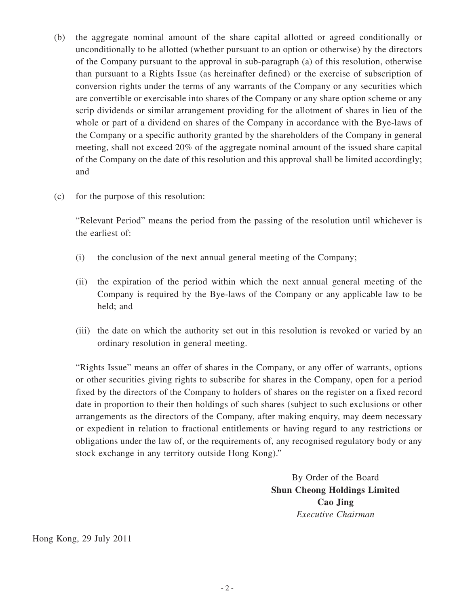- (b) the aggregate nominal amount of the share capital allotted or agreed conditionally or unconditionally to be allotted (whether pursuant to an option or otherwise) by the directors of the Company pursuant to the approval in sub-paragraph (a) of this resolution, otherwise than pursuant to a Rights Issue (as hereinafter defined) or the exercise of subscription of conversion rights under the terms of any warrants of the Company or any securities which are convertible or exercisable into shares of the Company or any share option scheme or any scrip dividends or similar arrangement providing for the allotment of shares in lieu of the whole or part of a dividend on shares of the Company in accordance with the Bye-laws of the Company or a specific authority granted by the shareholders of the Company in general meeting, shall not exceed 20% of the aggregate nominal amount of the issued share capital of the Company on the date of this resolution and this approval shall be limited accordingly; and
- (c) for the purpose of this resolution:

"Relevant Period" means the period from the passing of the resolution until whichever is the earliest of:

- (i) the conclusion of the next annual general meeting of the Company;
- (ii) the expiration of the period within which the next annual general meeting of the Company is required by the Bye-laws of the Company or any applicable law to be held; and
- (iii) the date on which the authority set out in this resolution is revoked or varied by an ordinary resolution in general meeting.

"Rights Issue" means an offer of shares in the Company, or any offer of warrants, options or other securities giving rights to subscribe for shares in the Company, open for a period fixed by the directors of the Company to holders of shares on the register on a fixed record date in proportion to their then holdings of such shares (subject to such exclusions or other arrangements as the directors of the Company, after making enquiry, may deem necessary or expedient in relation to fractional entitlements or having regard to any restrictions or obligations under the law of, or the requirements of, any recognised regulatory body or any stock exchange in any territory outside Hong Kong)."

> By Order of the Board **Shun Cheong Holdings Limited Cao Jing** *Executive Chairman*

Hong Kong, 29 July 2011